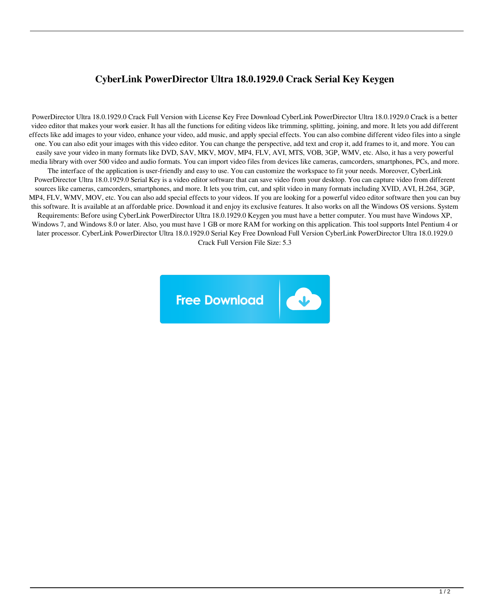## **CyberLink PowerDirector Ultra 18.0.1929.0 Crack Serial Key Keygen**

PowerDirector Ultra 18.0.1929.0 Crack Full Version with License Key Free Download CyberLink PowerDirector Ultra 18.0.1929.0 Crack is a better video editor that makes your work easier. It has all the functions for editing videos like trimming, splitting, joining, and more. It lets you add different effects like add images to your video, enhance your video, add music, and apply special effects. You can also combine different video files into a single one. You can also edit your images with this video editor. You can change the perspective, add text and crop it, add frames to it, and more. You can easily save your video in many formats like DVD, SAV, MKV, MOV, MP4, FLV, AVI, MTS, VOB, 3GP, WMV, etc. Also, it has a very powerful media library with over 500 video and audio formats. You can import video files from devices like cameras, camcorders, smartphones, PCs, and more. The interface of the application is user-friendly and easy to use. You can customize the workspace to fit your needs. Moreover, CyberLink PowerDirector Ultra 18.0.1929.0 Serial Key is a video editor software that can save video from your desktop. You can capture video from different sources like cameras, camcorders, smartphones, and more. It lets you trim, cut, and split video in many formats including XVID, AVI, H.264, 3GP, MP4, FLV, WMV, MOV, etc. You can also add special effects to your videos. If you are looking for a powerful video editor software then you can buy this software. It is available at an affordable price. Download it and enjoy its exclusive features. It also works on all the Windows OS versions. System Requirements: Before using CyberLink PowerDirector Ultra 18.0.1929.0 Keygen you must have a better computer. You must have Windows XP, Windows 7, and Windows 8.0 or later. Also, you must have 1 GB or more RAM for working on this application. This tool supports Intel Pentium 4 or later processor. CyberLink PowerDirector Ultra 18.0.1929.0 Serial Key Free Download Full Version CyberLink PowerDirector Ultra 18.0.1929.0 Crack Full Version File Size: 5.3